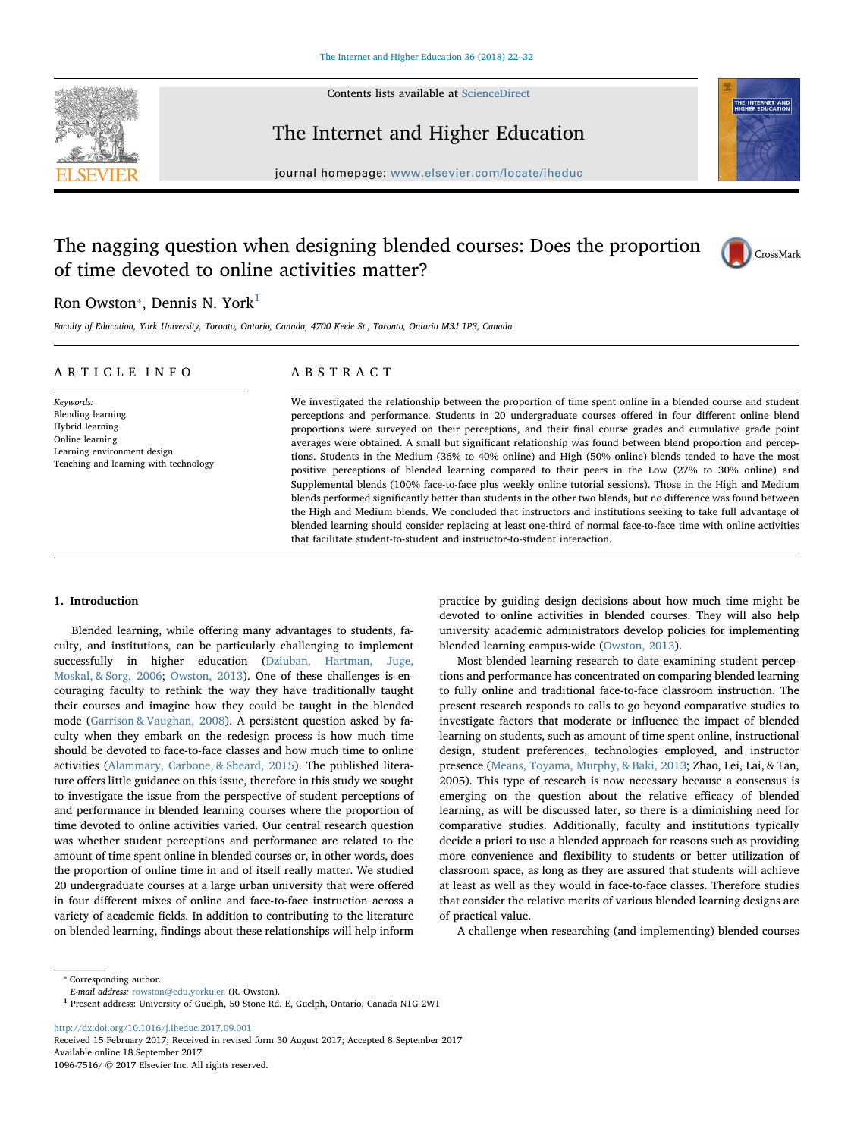



The Internet and Higher Education



journal homepage: [www.elsevier.com/locate/iheduc](https://www.elsevier.com/locate/iheduc)

# The nagging question when designing blended courses: Does the proportion of time devoted to online activities matter?



## Ron Owston\*, Dennis N. York $^1$  $^1$

Faculty of Education, York University, Toronto, Ontario, Canada, 4700 Keele St., Toronto, Ontario M3J 1P3, Canada

## ARTICLE INFO

## ABSTRACT

Keywords: Blending learning Hybrid learning Online learning Learning environment design Teaching and learning with technology We investigated the relationship between the proportion of time spent online in a blended course and student perceptions and performance. Students in 20 undergraduate courses offered in four different online blend proportions were surveyed on their perceptions, and their final course grades and cumulative grade point averages were obtained. A small but significant relationship was found between blend proportion and perceptions. Students in the Medium (36% to 40% online) and High (50% online) blends tended to have the most positive perceptions of blended learning compared to their peers in the Low (27% to 30% online) and Supplemental blends (100% face-to-face plus weekly online tutorial sessions). Those in the High and Medium blends performed significantly better than students in the other two blends, but no difference was found between the High and Medium blends. We concluded that instructors and institutions seeking to take full advantage of blended learning should consider replacing at least one-third of normal face-to-face time with online activities that facilitate student-to-student and instructor-to-student interaction.

## 1. Introduction

Blended learning, while offering many advantages to students, faculty, and institutions, can be particularly challenging to implement successfully in higher education ([Dziuban, Hartman, Juge,](#page-10-0) [Moskal, & Sorg, 2006](#page-10-0); [Owston, 2013\)](#page-10-1). One of these challenges is encouraging faculty to rethink the way they have traditionally taught their courses and imagine how they could be taught in the blended mode [\(Garrison & Vaughan, 2008\)](#page-10-2). A persistent question asked by faculty when they embark on the redesign process is how much time should be devoted to face-to-face classes and how much time to online activities [\(Alammary, Carbone, & Sheard, 2015](#page-10-3)). The published literature offers little guidance on this issue, therefore in this study we sought to investigate the issue from the perspective of student perceptions of and performance in blended learning courses where the proportion of time devoted to online activities varied. Our central research question was whether student perceptions and performance are related to the amount of time spent online in blended courses or, in other words, does the proportion of online time in and of itself really matter. We studied 20 undergraduate courses at a large urban university that were offered in four different mixes of online and face-to-face instruction across a variety of academic fields. In addition to contributing to the literature on blended learning, findings about these relationships will help inform practice by guiding design decisions about how much time might be devoted to online activities in blended courses. They will also help university academic administrators develop policies for implementing blended learning campus-wide [\(Owston, 2013\)](#page-10-1).

Most blended learning research to date examining student perceptions and performance has concentrated on comparing blended learning to fully online and traditional face-to-face classroom instruction. The present research responds to calls to go beyond comparative studies to investigate factors that moderate or influence the impact of blended learning on students, such as amount of time spent online, instructional design, student preferences, technologies employed, and instructor presence [\(Means, Toyama, Murphy, & Baki, 2013;](#page-10-4) Zhao, Lei, Lai, & Tan, 2005). This type of research is now necessary because a consensus is emerging on the question about the relative efficacy of blended learning, as will be discussed later, so there is a diminishing need for comparative studies. Additionally, faculty and institutions typically decide a priori to use a blended approach for reasons such as providing more convenience and flexibility to students or better utilization of classroom space, as long as they are assured that students will achieve at least as well as they would in face-to-face classes. Therefore studies that consider the relative merits of various blended learning designs are of practical value.

A challenge when researching (and implementing) blended courses

<span id="page-0-0"></span>⁎ Corresponding author.

<http://dx.doi.org/10.1016/j.iheduc.2017.09.001>

Received 15 February 2017; Received in revised form 30 August 2017; Accepted 8 September 2017 Available online 18 September 2017 1096-7516/ © 2017 Elsevier Inc. All rights reserved.

E-mail address: [rowston@edu.yorku.ca](mailto:rowston@edu.yorku.ca) (R. Owston).

<span id="page-0-1"></span> $^{\rm 1}$  Present address: University of Guelph, 50 Stone Rd. E, Guelph, Ontario, Canada N1G 2W1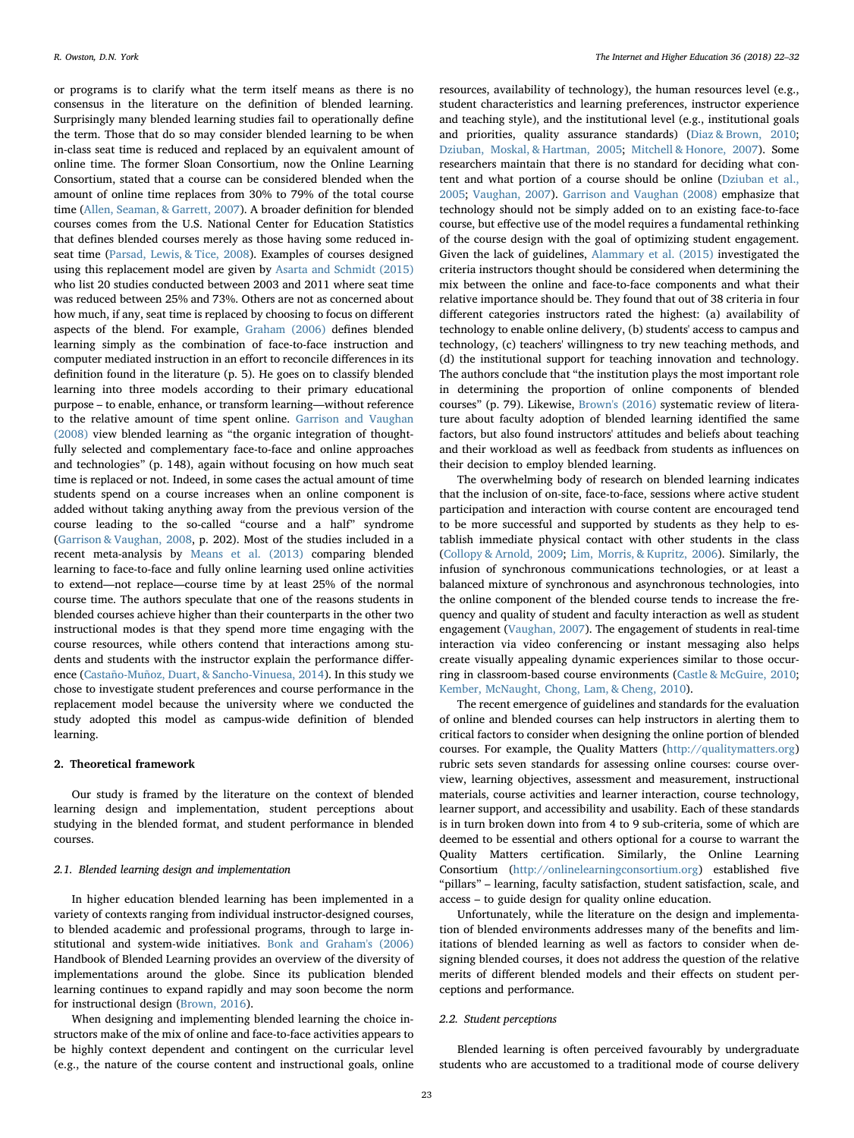or programs is to clarify what the term itself means as there is no consensus in the literature on the definition of blended learning. Surprisingly many blended learning studies fail to operationally define the term. Those that do so may consider blended learning to be when in-class seat time is reduced and replaced by an equivalent amount of online time. The former Sloan Consortium, now the Online Learning Consortium, stated that a course can be considered blended when the amount of online time replaces from 30% to 79% of the total course time ([Allen, Seaman, & Garrett, 2007](#page-10-5)). A broader definition for blended courses comes from the U.S. National Center for Education Statistics that defines blended courses merely as those having some reduced inseat time [\(Parsad, Lewis, & Tice, 2008\)](#page-10-6). Examples of courses designed using this replacement model are given by [Asarta and Schmidt \(2015\)](#page-10-7) who list 20 studies conducted between 2003 and 2011 where seat time was reduced between 25% and 73%. Others are not as concerned about how much, if any, seat time is replaced by choosing to focus on different aspects of the blend. For example, [Graham \(2006\)](#page-10-8) defines blended learning simply as the combination of face-to-face instruction and computer mediated instruction in an effort to reconcile differences in its definition found in the literature (p. 5). He goes on to classify blended learning into three models according to their primary educational purpose – to enable, enhance, or transform learning—without reference to the relative amount of time spent online. [Garrison and Vaughan](#page-10-2) [\(2008\)](#page-10-2) view blended learning as "the organic integration of thoughtfully selected and complementary face-to-face and online approaches and technologies" (p. 148), again without focusing on how much seat time is replaced or not. Indeed, in some cases the actual amount of time students spend on a course increases when an online component is added without taking anything away from the previous version of the course leading to the so-called "course and a half" syndrome ([Garrison & Vaughan, 2008,](#page-10-2) p. 202). Most of the studies included in a recent meta-analysis by [Means et al. \(2013\)](#page-10-4) comparing blended learning to face-to-face and fully online learning used online activities to extend—not replace—course time by at least 25% of the normal course time. The authors speculate that one of the reasons students in blended courses achieve higher than their counterparts in the other two instructional modes is that they spend more time engaging with the course resources, while others contend that interactions among students and students with the instructor explain the performance difference ([Castaño-Muñoz, Duart, & Sancho-Vinuesa, 2014](#page-10-9)). In this study we chose to investigate student preferences and course performance in the replacement model because the university where we conducted the study adopted this model as campus-wide definition of blended learning.

### 2. Theoretical framework

Our study is framed by the literature on the context of blended learning design and implementation, student perceptions about studying in the blended format, and student performance in blended courses.

## 2.1. Blended learning design and implementation

In higher education blended learning has been implemented in a variety of contexts ranging from individual instructor-designed courses, to blended academic and professional programs, through to large institutional and system-wide initiatives. [Bonk and Graham's \(2006\)](#page-10-10) Handbook of Blended Learning provides an overview of the diversity of implementations around the globe. Since its publication blended learning continues to expand rapidly and may soon become the norm for instructional design ([Brown, 2016\)](#page-10-11).

When designing and implementing blended learning the choice instructors make of the mix of online and face-to-face activities appears to be highly context dependent and contingent on the curricular level (e.g., the nature of the course content and instructional goals, online resources, availability of technology), the human resources level (e.g., student characteristics and learning preferences, instructor experience and teaching style), and the institutional level (e.g., institutional goals and priorities, quality assurance standards) ([Diaz & Brown, 2010](#page-10-12); [Dziuban, Moskal, & Hartman, 2005](#page-10-13); [Mitchell & Honore, 2007\)](#page-10-14). Some researchers maintain that there is no standard for deciding what content and what portion of a course should be online ([Dziuban et al.,](#page-10-13) [2005;](#page-10-13) [Vaughan, 2007](#page-10-15)). [Garrison and Vaughan \(2008\)](#page-10-2) emphasize that technology should not be simply added on to an existing face-to-face course, but effective use of the model requires a fundamental rethinking of the course design with the goal of optimizing student engagement. Given the lack of guidelines, [Alammary et al. \(2015\)](#page-10-3) investigated the criteria instructors thought should be considered when determining the mix between the online and face-to-face components and what their relative importance should be. They found that out of 38 criteria in four different categories instructors rated the highest: (a) availability of technology to enable online delivery, (b) students' access to campus and technology, (c) teachers' willingness to try new teaching methods, and (d) the institutional support for teaching innovation and technology. The authors conclude that "the institution plays the most important role in determining the proportion of online components of blended courses" (p. 79). Likewise, [Brown's \(2016\)](#page-10-11) systematic review of literature about faculty adoption of blended learning identified the same factors, but also found instructors' attitudes and beliefs about teaching and their workload as well as feedback from students as influences on their decision to employ blended learning.

The overwhelming body of research on blended learning indicates that the inclusion of on-site, face-to-face, sessions where active student participation and interaction with course content are encouraged tend to be more successful and supported by students as they help to establish immediate physical contact with other students in the class ([Collopy & Arnold, 2009;](#page-10-16) [Lim, Morris, & Kupritz, 2006\)](#page-10-17). Similarly, the infusion of synchronous communications technologies, or at least a balanced mixture of synchronous and asynchronous technologies, into the online component of the blended course tends to increase the frequency and quality of student and faculty interaction as well as student engagement ([Vaughan, 2007](#page-10-15)). The engagement of students in real-time interaction via video conferencing or instant messaging also helps create visually appealing dynamic experiences similar to those occurring in classroom-based course environments [\(Castle & McGuire, 2010](#page-10-18); [Kember, McNaught, Chong, Lam, & Cheng, 2010\)](#page-10-19).

The recent emergence of guidelines and standards for the evaluation of online and blended courses can help instructors in alerting them to critical factors to consider when designing the online portion of blended courses. For example, the Quality Matters [\(http://qualitymatters.org\)](http://qualitymatters.org) rubric sets seven standards for assessing online courses: course overview, learning objectives, assessment and measurement, instructional materials, course activities and learner interaction, course technology, learner support, and accessibility and usability. Each of these standards is in turn broken down into from 4 to 9 sub-criteria, some of which are deemed to be essential and others optional for a course to warrant the Quality Matters certification. Similarly, the Online Learning Consortium [\(http://onlinelearningconsortium.org](http://onlinelearningconsortium.org)) established five "pillars" – learning, faculty satisfaction, student satisfaction, scale, and access – to guide design for quality online education.

Unfortunately, while the literature on the design and implementation of blended environments addresses many of the benefits and limitations of blended learning as well as factors to consider when designing blended courses, it does not address the question of the relative merits of different blended models and their effects on student perceptions and performance.

### 2.2. Student perceptions

Blended learning is often perceived favourably by undergraduate students who are accustomed to a traditional mode of course delivery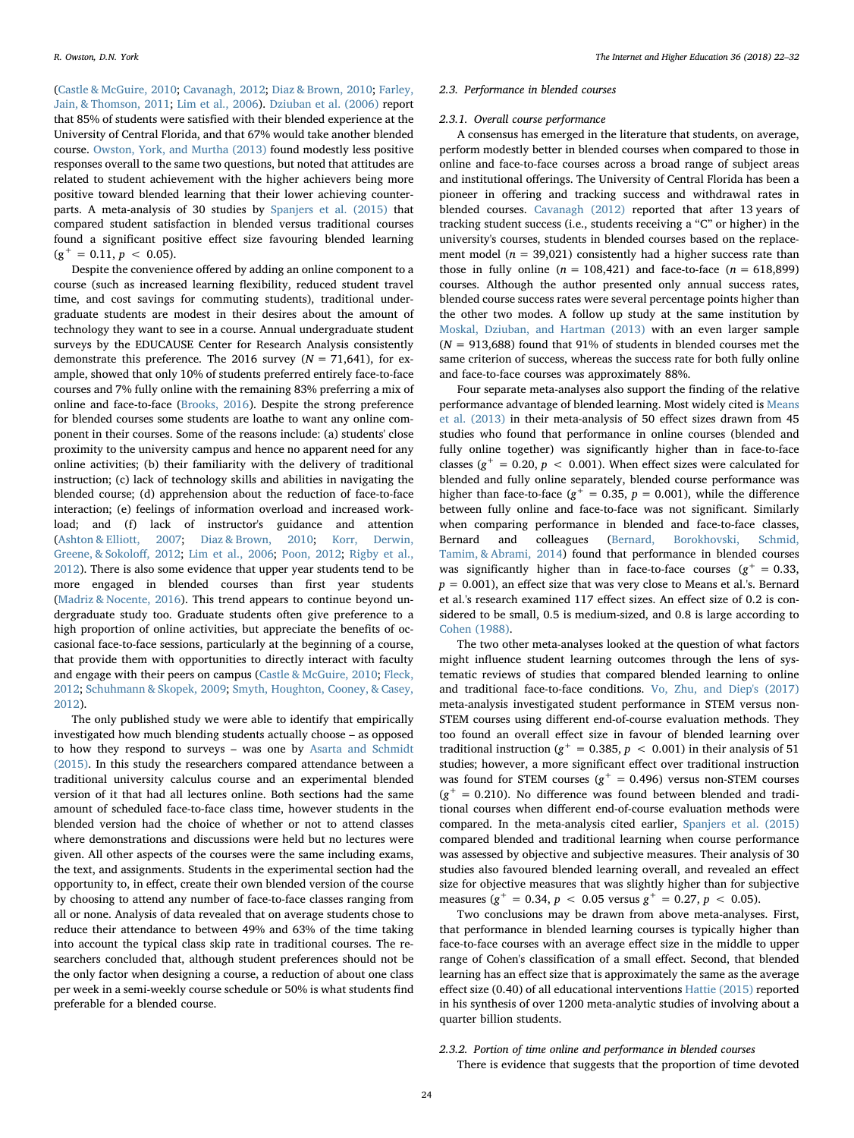([Castle & McGuire, 2010](#page-10-18); [Cavanagh, 2012](#page-10-20); [Diaz & Brown, 2010;](#page-10-12) [Farley,](#page-10-21) [Jain, & Thomson, 2011;](#page-10-21) [Lim et al., 2006](#page-10-17)). [Dziuban et al. \(2006\)](#page-10-0) report that 85% of students were satisfied with their blended experience at the University of Central Florida, and that 67% would take another blended course. [Owston, York, and Murtha \(2013\)](#page-10-22) found modestly less positive responses overall to the same two questions, but noted that attitudes are related to student achievement with the higher achievers being more positive toward blended learning that their lower achieving counterparts. A meta-analysis of 30 studies by [Spanjers et al. \(2015\)](#page-10-23) that compared student satisfaction in blended versus traditional courses found a significant positive effect size favouring blended learning  $(g^+ = 0.11, p < 0.05)$ .

Despite the convenience offered by adding an online component to a course (such as increased learning flexibility, reduced student travel time, and cost savings for commuting students), traditional undergraduate students are modest in their desires about the amount of technology they want to see in a course. Annual undergraduate student surveys by the EDUCAUSE Center for Research Analysis consistently demonstrate this preference. The 2016 survey  $(N = 71,641)$ , for example, showed that only 10% of students preferred entirely face-to-face courses and 7% fully online with the remaining 83% preferring a mix of online and face-to-face [\(Brooks, 2016\)](#page-10-24). Despite the strong preference for blended courses some students are loathe to want any online component in their courses. Some of the reasons include: (a) students' close proximity to the university campus and hence no apparent need for any online activities; (b) their familiarity with the delivery of traditional instruction; (c) lack of technology skills and abilities in navigating the blended course; (d) apprehension about the reduction of face-to-face interaction; (e) feelings of information overload and increased workload; and (f) lack of instructor's guidance and attention ([Ashton & Elliott, 2007;](#page-10-25) [Diaz & Brown, 2010;](#page-10-12) [Korr, Derwin,](#page-10-26) [Greene, & Sokolo](#page-10-26)ff, 2012; [Lim et al., 2006](#page-10-17); [Poon, 2012](#page-10-27); [Rigby et al.,](#page-10-28) [2012\)](#page-10-28). There is also some evidence that upper year students tend to be more engaged in blended courses than first year students ([Madriz & Nocente, 2016](#page-10-29)). This trend appears to continue beyond undergraduate study too. Graduate students often give preference to a high proportion of online activities, but appreciate the benefits of occasional face-to-face sessions, particularly at the beginning of a course, that provide them with opportunities to directly interact with faculty and engage with their peers on campus ([Castle & McGuire, 2010](#page-10-18); [Fleck,](#page-10-30) [2012;](#page-10-30) [Schuhmann & Skopek, 2009;](#page-10-31) [Smyth, Houghton, Cooney, & Casey,](#page-10-32) [2012\)](#page-10-32).

The only published study we were able to identify that empirically investigated how much blending students actually choose – as opposed to how they respond to surveys – was one by [Asarta and Schmidt](#page-10-7) [\(2015\).](#page-10-7) In this study the researchers compared attendance between a traditional university calculus course and an experimental blended version of it that had all lectures online. Both sections had the same amount of scheduled face-to-face class time, however students in the blended version had the choice of whether or not to attend classes where demonstrations and discussions were held but no lectures were given. All other aspects of the courses were the same including exams, the text, and assignments. Students in the experimental section had the opportunity to, in effect, create their own blended version of the course by choosing to attend any number of face-to-face classes ranging from all or none. Analysis of data revealed that on average students chose to reduce their attendance to between 49% and 63% of the time taking into account the typical class skip rate in traditional courses. The researchers concluded that, although student preferences should not be the only factor when designing a course, a reduction of about one class per week in a semi-weekly course schedule or 50% is what students find preferable for a blended course.

#### 2.3. Performance in blended courses

#### 2.3.1. Overall course performance

A consensus has emerged in the literature that students, on average, perform modestly better in blended courses when compared to those in online and face-to-face courses across a broad range of subject areas and institutional offerings. The University of Central Florida has been a pioneer in offering and tracking success and withdrawal rates in blended courses. [Cavanagh \(2012\)](#page-10-20) reported that after 13 years of tracking student success (i.e., students receiving a "C" or higher) in the university's courses, students in blended courses based on the replacement model ( $n = 39.021$ ) consistently had a higher success rate than those in fully online  $(n = 108.421)$  and face-to-face  $(n = 618.899)$ courses. Although the author presented only annual success rates, blended course success rates were several percentage points higher than the other two modes. A follow up study at the same institution by [Moskal, Dziuban, and Hartman \(2013\)](#page-10-33) with an even larger sample  $(N = 913,688)$  found that 91% of students in blended courses met the same criterion of success, whereas the success rate for both fully online and face-to-face courses was approximately 88%.

Four separate meta-analyses also support the finding of the relative performance advantage of blended learning. Most widely cited is [Means](#page-10-4) [et al. \(2013\)](#page-10-4) in their meta-analysis of 50 effect sizes drawn from 45 studies who found that performance in online courses (blended and fully online together) was significantly higher than in face-to-face classes ( $g^+ = 0.20$ ,  $p < 0.001$ ). When effect sizes were calculated for blended and fully online separately, blended course performance was higher than face-to-face ( $g^+ = 0.35$ ,  $p = 0.001$ ), while the difference between fully online and face-to-face was not significant. Similarly when comparing performance in blended and face-to-face classes, Bernard and colleagues ([Bernard, Borokhovski, Schmid,](#page-10-34) [Tamim, & Abrami, 2014](#page-10-34)) found that performance in blended courses was significantly higher than in face-to-face courses ( $g^+ = 0.33$ ,  $p = 0.001$ ), an effect size that was very close to Means et al.'s. Bernard et al.'s research examined 117 effect sizes. An effect size of 0.2 is considered to be small, 0.5 is medium-sized, and 0.8 is large according to [Cohen \(1988\).](#page-10-35)

The two other meta-analyses looked at the question of what factors might influence student learning outcomes through the lens of systematic reviews of studies that compared blended learning to online and traditional face-to-face conditions. [Vo, Zhu, and Diep's \(2017\)](#page-10-36) meta-analysis investigated student performance in STEM versus non-STEM courses using different end-of-course evaluation methods. They too found an overall effect size in favour of blended learning over traditional instruction ( $g^+ = 0.385$ ,  $p < 0.001$ ) in their analysis of 51 studies; however, a more significant effect over traditional instruction was found for STEM courses ( $g^+ = 0.496$ ) versus non-STEM courses  $(g<sup>+</sup> = 0.210)$ . No difference was found between blended and traditional courses when different end-of-course evaluation methods were compared. In the meta-analysis cited earlier, [Spanjers et al. \(2015\)](#page-10-23) compared blended and traditional learning when course performance was assessed by objective and subjective measures. Their analysis of 30 studies also favoured blended learning overall, and revealed an effect size for objective measures that was slightly higher than for subjective measures ( $g^+ = 0.34$ ,  $p < 0.05$  versus  $g^+ = 0.27$ ,  $p < 0.05$ ).

Two conclusions may be drawn from above meta-analyses. First, that performance in blended learning courses is typically higher than face-to-face courses with an average effect size in the middle to upper range of Cohen's classification of a small effect. Second, that blended learning has an effect size that is approximately the same as the average effect size (0.40) of all educational interventions [Hattie \(2015\)](#page-10-37) reported in his synthesis of over 1200 meta-analytic studies of involving about a quarter billion students.

<sup>2.3.2.</sup> Portion of time online and performance in blended courses There is evidence that suggests that the proportion of time devoted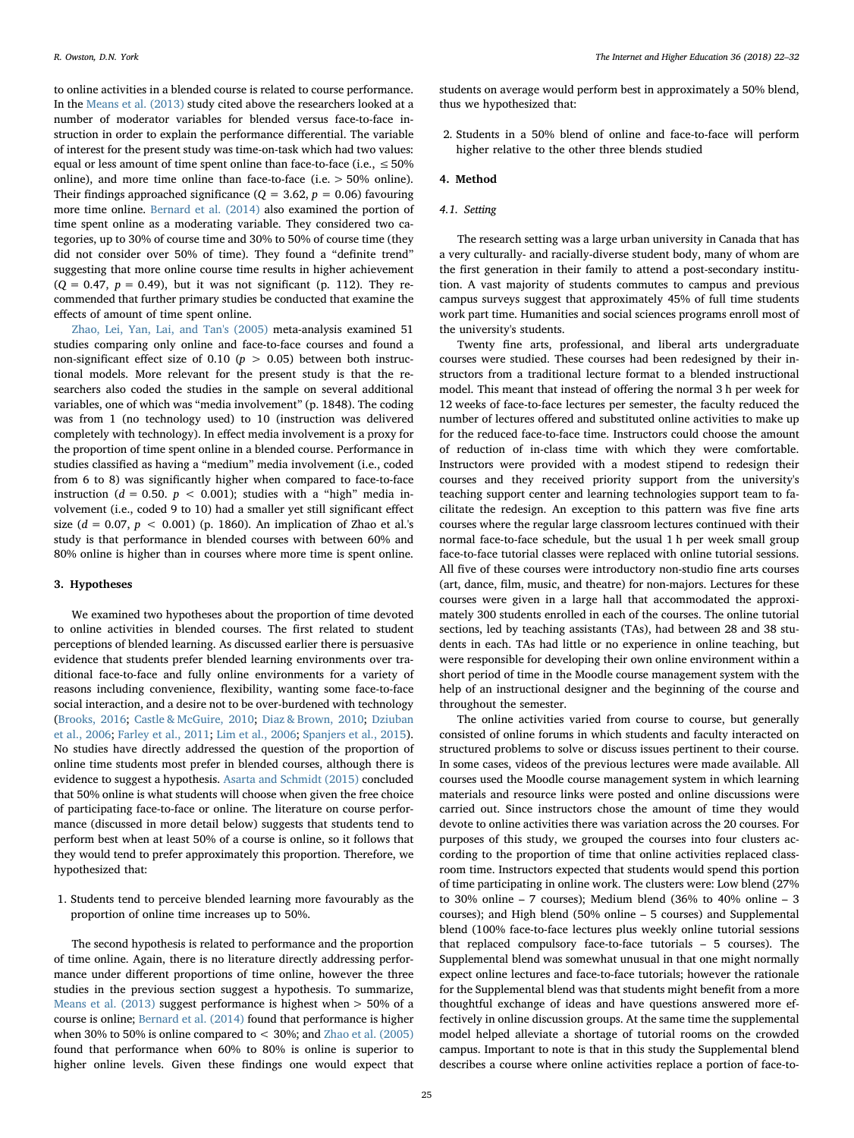to online activities in a blended course is related to course performance. In the [Means et al. \(2013\)](#page-10-4) study cited above the researchers looked at a number of moderator variables for blended versus face-to-face instruction in order to explain the performance differential. The variable of interest for the present study was time-on-task which had two values: equal or less amount of time spent online than face-to-face (i.e.,  $\leq 50\%$ online), and more time online than face-to-face (i.e. > 50% online). Their findings approached significance ( $Q = 3.62$ ,  $p = 0.06$ ) favouring more time online. [Bernard et al. \(2014\)](#page-10-34) also examined the portion of time spent online as a moderating variable. They considered two categories, up to 30% of course time and 30% to 50% of course time (they did not consider over 50% of time). They found a "definite trend" suggesting that more online course time results in higher achievement  $(Q = 0.47, p = 0.49)$ , but it was not significant (p. 112). They recommended that further primary studies be conducted that examine the effects of amount of time spent online.

[Zhao, Lei, Yan, Lai, and Tan's \(2005\)](#page-10-38) meta-analysis examined 51 studies comparing only online and face-to-face courses and found a non-significant effect size of 0.10 ( $p > 0.05$ ) between both instructional models. More relevant for the present study is that the researchers also coded the studies in the sample on several additional variables, one of which was "media involvement" (p. 1848). The coding was from 1 (no technology used) to 10 (instruction was delivered completely with technology). In effect media involvement is a proxy for the proportion of time spent online in a blended course. Performance in studies classified as having a "medium" media involvement (i.e., coded from 6 to 8) was significantly higher when compared to face-to-face instruction ( $d = 0.50$ .  $p < 0.001$ ); studies with a "high" media involvement (i.e., coded 9 to 10) had a smaller yet still significant effect size ( $d = 0.07$ ,  $p < 0.001$ ) (p. 1860). An implication of Zhao et al.'s study is that performance in blended courses with between 60% and 80% online is higher than in courses where more time is spent online.

### 3. Hypotheses

We examined two hypotheses about the proportion of time devoted to online activities in blended courses. The first related to student perceptions of blended learning. As discussed earlier there is persuasive evidence that students prefer blended learning environments over traditional face-to-face and fully online environments for a variety of reasons including convenience, flexibility, wanting some face-to-face social interaction, and a desire not to be over-burdened with technology ([Brooks, 2016](#page-10-24); [Castle & McGuire, 2010](#page-10-18); [Diaz & Brown, 2010;](#page-10-12) [Dziuban](#page-10-0) [et al., 2006;](#page-10-0) [Farley et al., 2011;](#page-10-21) [Lim et al., 2006;](#page-10-17) [Spanjers et al., 2015](#page-10-23)). No studies have directly addressed the question of the proportion of online time students most prefer in blended courses, although there is evidence to suggest a hypothesis. [Asarta and Schmidt \(2015\)](#page-10-7) concluded that 50% online is what students will choose when given the free choice of participating face-to-face or online. The literature on course performance (discussed in more detail below) suggests that students tend to perform best when at least 50% of a course is online, so it follows that they would tend to prefer approximately this proportion. Therefore, we hypothesized that:

1. Students tend to perceive blended learning more favourably as the proportion of online time increases up to 50%.

The second hypothesis is related to performance and the proportion of time online. Again, there is no literature directly addressing performance under different proportions of time online, however the three studies in the previous section suggest a hypothesis. To summarize, [Means et al. \(2013\)](#page-10-4) suggest performance is highest when > 50% of a course is online; [Bernard et al. \(2014\)](#page-10-34) found that performance is higher when 30% to 50% is online compared to  $<$  30%; and [Zhao et al. \(2005\)](#page-10-38) found that performance when 60% to 80% is online is superior to higher online levels. Given these findings one would expect that students on average would perform best in approximately a 50% blend, thus we hypothesized that:

2. Students in a 50% blend of online and face-to-face will perform higher relative to the other three blends studied

## 4. Method

## 4.1. Setting

The research setting was a large urban university in Canada that has a very culturally- and racially-diverse student body, many of whom are the first generation in their family to attend a post-secondary institution. A vast majority of students commutes to campus and previous campus surveys suggest that approximately 45% of full time students work part time. Humanities and social sciences programs enroll most of the university's students.

Twenty fine arts, professional, and liberal arts undergraduate courses were studied. These courses had been redesigned by their instructors from a traditional lecture format to a blended instructional model. This meant that instead of offering the normal 3 h per week for 12 weeks of face-to-face lectures per semester, the faculty reduced the number of lectures offered and substituted online activities to make up for the reduced face-to-face time. Instructors could choose the amount of reduction of in-class time with which they were comfortable. Instructors were provided with a modest stipend to redesign their courses and they received priority support from the university's teaching support center and learning technologies support team to facilitate the redesign. An exception to this pattern was five fine arts courses where the regular large classroom lectures continued with their normal face-to-face schedule, but the usual 1 h per week small group face-to-face tutorial classes were replaced with online tutorial sessions. All five of these courses were introductory non-studio fine arts courses (art, dance, film, music, and theatre) for non-majors. Lectures for these courses were given in a large hall that accommodated the approximately 300 students enrolled in each of the courses. The online tutorial sections, led by teaching assistants (TAs), had between 28 and 38 students in each. TAs had little or no experience in online teaching, but were responsible for developing their own online environment within a short period of time in the Moodle course management system with the help of an instructional designer and the beginning of the course and throughout the semester.

The online activities varied from course to course, but generally consisted of online forums in which students and faculty interacted on structured problems to solve or discuss issues pertinent to their course. In some cases, videos of the previous lectures were made available. All courses used the Moodle course management system in which learning materials and resource links were posted and online discussions were carried out. Since instructors chose the amount of time they would devote to online activities there was variation across the 20 courses. For purposes of this study, we grouped the courses into four clusters according to the proportion of time that online activities replaced classroom time. Instructors expected that students would spend this portion of time participating in online work. The clusters were: Low blend (27% to 30% online – 7 courses); Medium blend (36% to 40% online – 3 courses); and High blend (50% online – 5 courses) and Supplemental blend (100% face-to-face lectures plus weekly online tutorial sessions that replaced compulsory face-to-face tutorials – 5 courses). The Supplemental blend was somewhat unusual in that one might normally expect online lectures and face-to-face tutorials; however the rationale for the Supplemental blend was that students might benefit from a more thoughtful exchange of ideas and have questions answered more effectively in online discussion groups. At the same time the supplemental model helped alleviate a shortage of tutorial rooms on the crowded campus. Important to note is that in this study the Supplemental blend describes a course where online activities replace a portion of face-to-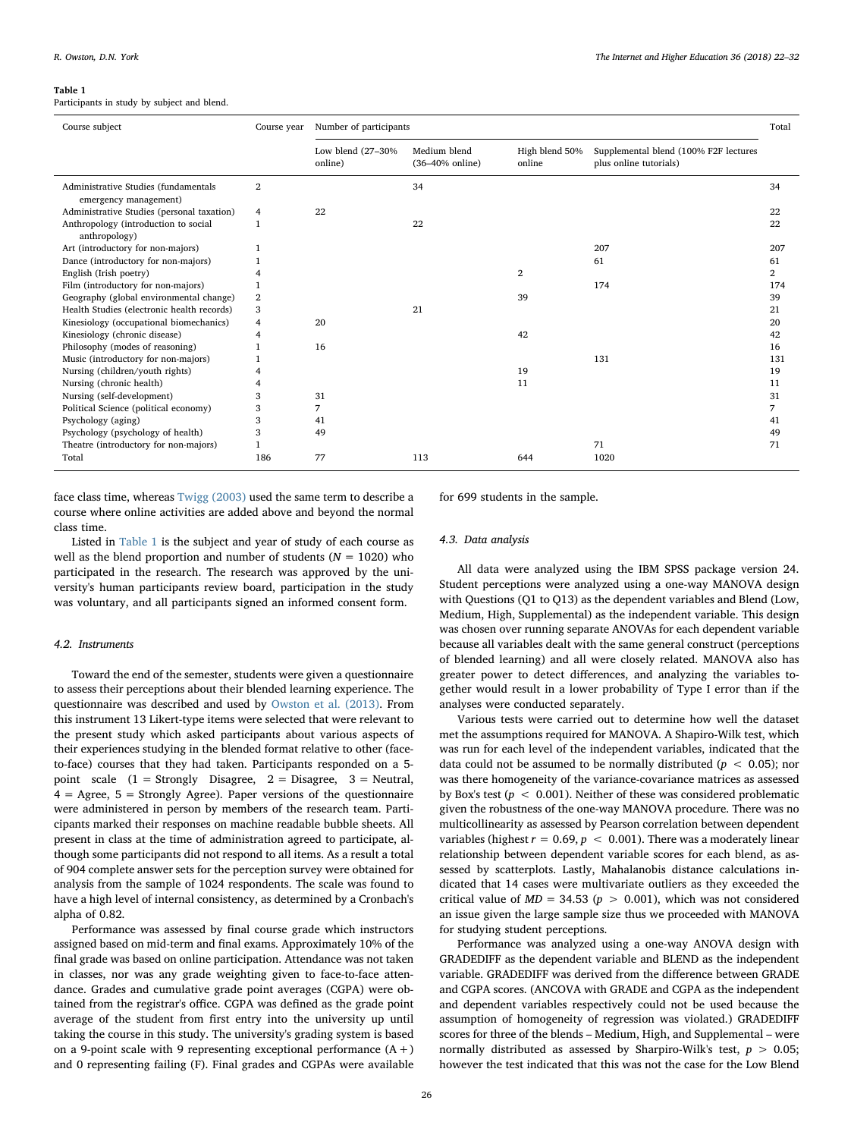#### <span id="page-4-0"></span>Table 1

Participants in study by subject and blend.

| Course subject                                                | Course year    | Number of participants          |                                 |                          |                                                                 | Total          |
|---------------------------------------------------------------|----------------|---------------------------------|---------------------------------|--------------------------|-----------------------------------------------------------------|----------------|
|                                                               |                | Low blend $(27-30\%$<br>online) | Medium blend<br>(36-40% online) | High blend 50%<br>online | Supplemental blend (100% F2F lectures<br>plus online tutorials) |                |
| Administrative Studies (fundamentals<br>emergency management) | 2              |                                 | 34                              |                          |                                                                 | 34             |
| Administrative Studies (personal taxation)                    | 4              | 22                              |                                 |                          |                                                                 | 22             |
| Anthropology (introduction to social<br>anthropology)         | $\mathbf{1}$   |                                 | 22                              |                          |                                                                 | 22             |
| Art (introductory for non-majors)                             |                |                                 |                                 |                          | 207                                                             | 207            |
| Dance (introductory for non-majors)                           | 1              |                                 |                                 |                          | 61                                                              | 61             |
| English (Irish poetry)                                        |                |                                 |                                 | $\overline{2}$           |                                                                 | $\overline{2}$ |
| Film (introductory for non-majors)                            | 1              |                                 |                                 |                          | 174                                                             | 174            |
| Geography (global environmental change)                       | $\overline{2}$ |                                 |                                 | 39                       |                                                                 | 39             |
| Health Studies (electronic health records)                    | 3              |                                 | 21                              |                          |                                                                 | 21             |
| Kinesiology (occupational biomechanics)                       | 4              | 20                              |                                 |                          |                                                                 | 20             |
| Kinesiology (chronic disease)                                 | 4              |                                 |                                 | 42                       |                                                                 | 42             |
| Philosophy (modes of reasoning)                               |                | 16                              |                                 |                          |                                                                 | 16             |
| Music (introductory for non-majors)                           |                |                                 |                                 |                          | 131                                                             | 131            |
| Nursing (children/youth rights)                               |                |                                 |                                 | 19                       |                                                                 | 19             |
| Nursing (chronic health)                                      |                |                                 |                                 | 11                       |                                                                 | 11             |
| Nursing (self-development)                                    | 3              | 31                              |                                 |                          |                                                                 | 31             |
| Political Science (political economy)                         | 3              | 7                               |                                 |                          |                                                                 | 7              |
| Psychology (aging)                                            | 3              | 41                              |                                 |                          |                                                                 | 41             |
| Psychology (psychology of health)                             | 3              | 49                              |                                 |                          |                                                                 | 49             |
| Theatre (introductory for non-majors)                         | 1              |                                 |                                 |                          | 71                                                              | 71             |
| Total                                                         | 186            | 77                              | 113                             | 644                      | 1020                                                            |                |

face class time, whereas [Twigg \(2003\)](#page-10-39) used the same term to describe a course where online activities are added above and beyond the normal class time.

Listed in [Table 1](#page-4-0) is the subject and year of study of each course as well as the blend proportion and number of students ( $N = 1020$ ) who participated in the research. The research was approved by the university's human participants review board, participation in the study was voluntary, and all participants signed an informed consent form.

## 4.2. Instruments

Toward the end of the semester, students were given a questionnaire to assess their perceptions about their blended learning experience. The questionnaire was described and used by [Owston et al. \(2013\).](#page-10-22) From this instrument 13 Likert-type items were selected that were relevant to the present study which asked participants about various aspects of their experiences studying in the blended format relative to other (faceto-face) courses that they had taken. Participants responded on a 5 point scale (1 = Strongly Disagree, 2 = Disagree, 3 = Neutral,  $4 = \text{Agree}, 5 = \text{Strongly Agree}.$  Paper versions of the questionnaire were administered in person by members of the research team. Participants marked their responses on machine readable bubble sheets. All present in class at the time of administration agreed to participate, although some participants did not respond to all items. As a result a total of 904 complete answer sets for the perception survey were obtained for analysis from the sample of 1024 respondents. The scale was found to have a high level of internal consistency, as determined by a Cronbach's alpha of 0.82.

Performance was assessed by final course grade which instructors assigned based on mid-term and final exams. Approximately 10% of the final grade was based on online participation. Attendance was not taken in classes, nor was any grade weighting given to face-to-face attendance. Grades and cumulative grade point averages (CGPA) were obtained from the registrar's office. CGPA was defined as the grade point average of the student from first entry into the university up until taking the course in this study. The university's grading system is based on a 9-point scale with 9 representing exceptional performance  $(A+)$ and 0 representing failing (F). Final grades and CGPAs were available for 699 students in the sample.

## 4.3. Data analysis

All data were analyzed using the IBM SPSS package version 24. Student perceptions were analyzed using a one-way MANOVA design with Questions (Q1 to Q13) as the dependent variables and Blend (Low, Medium, High, Supplemental) as the independent variable. This design was chosen over running separate ANOVAs for each dependent variable because all variables dealt with the same general construct (perceptions of blended learning) and all were closely related. MANOVA also has greater power to detect differences, and analyzing the variables together would result in a lower probability of Type I error than if the analyses were conducted separately.

Various tests were carried out to determine how well the dataset met the assumptions required for MANOVA. A Shapiro-Wilk test, which was run for each level of the independent variables, indicated that the data could not be assumed to be normally distributed ( $p < 0.05$ ); nor was there homogeneity of the variance-covariance matrices as assessed by Box's test ( $p < 0.001$ ). Neither of these was considered problematic given the robustness of the one-way MANOVA procedure. There was no multicollinearity as assessed by Pearson correlation between dependent variables (highest  $r = 0.69$ ,  $p < 0.001$ ). There was a moderately linear relationship between dependent variable scores for each blend, as assessed by scatterplots. Lastly, Mahalanobis distance calculations indicated that 14 cases were multivariate outliers as they exceeded the critical value of  $MD = 34.53$  ( $p > 0.001$ ), which was not considered an issue given the large sample size thus we proceeded with MANOVA for studying student perceptions.

Performance was analyzed using a one-way ANOVA design with GRADEDIFF as the dependent variable and BLEND as the independent variable. GRADEDIFF was derived from the difference between GRADE and CGPA scores. (ANCOVA with GRADE and CGPA as the independent and dependent variables respectively could not be used because the assumption of homogeneity of regression was violated.) GRADEDIFF scores for three of the blends – Medium, High, and Supplemental – were normally distributed as assessed by Sharpiro-Wilk's test,  $p > 0.05$ ; however the test indicated that this was not the case for the Low Blend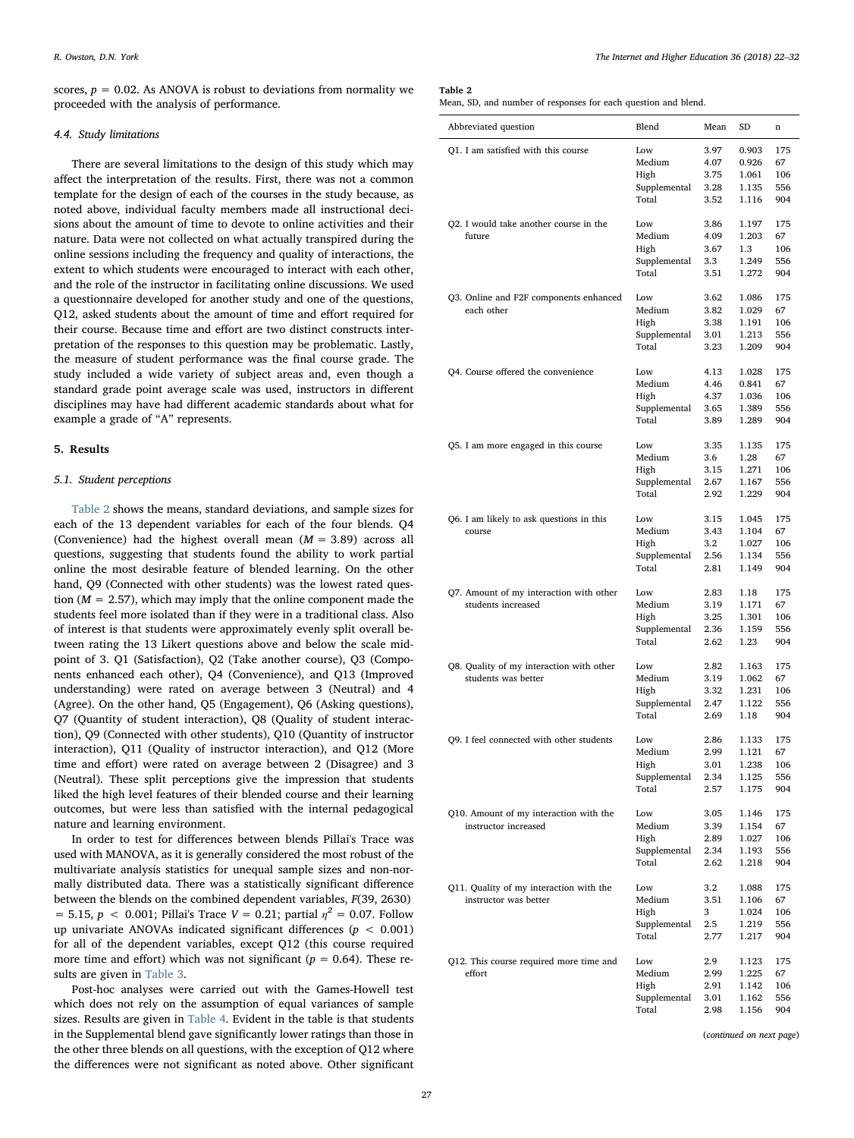scores,  $p = 0.02$ . As ANOVA is robust to deviations from normality we proceeded with the analysis of performance.

## 4.4. Study limitations

There are several limitations to the design of this study which may affect the interpretation of the results. First, there was not a common template for the design of each of the courses in the study because, as noted above, individual faculty members made all instructional decisions about the amount of time to devote to online activities and their nature. Data were not collected on what actually transpired during the online sessions including the frequency and quality of interactions, the extent to which students were encouraged to interact with each other, and the role of the instructor in facilitating online discussions. We used a questionnaire developed for another study and one of the questions, Q12, asked students about the amount of time and effort required for their course. Because time and effort are two distinct constructs interpretation of the responses to this question may be problematic. Lastly, the measure of student performance was the final course grade. The study included a wide variety of subject areas and, even though a standard grade point average scale was used, instructors in different disciplines may have had different academic standards about what for example a grade of "A" represents.

## 5. Results

#### 5.1. Student perceptions

[Table 2](#page-5-0) shows the means, standard deviations, and sample sizes for each of the 13 dependent variables for each of the four blends. Q4 (Convenience) had the highest overall mean  $(M = 3.89)$  across all questions, suggesting that students found the ability to work partial online the most desirable feature of blended learning. On the other hand, Q9 (Connected with other students) was the lowest rated question ( $M = 2.57$ ), which may imply that the online component made the students feel more isolated than if they were in a traditional class. Also of interest is that students were approximately evenly split overall between rating the 13 Likert questions above and below the scale midpoint of 3. Q1 (Satisfaction), Q2 (Take another course), Q3 (Components enhanced each other), Q4 (Convenience), and Q13 (Improved understanding) were rated on average between 3 (Neutral) and 4 (Agree). On the other hand, Q5 (Engagement), Q6 (Asking questions), Q7 (Quantity of student interaction), Q8 (Quality of student interaction), Q9 (Connected with other students), Q10 (Quantity of instructor interaction), Q11 (Quality of instructor interaction), and Q12 (More time and effort) were rated on average between 2 (Disagree) and 3 (Neutral). These split perceptions give the impression that students liked the high level features of their blended course and their learning outcomes, but were less than satisfied with the internal pedagogical nature and learning environment.

In order to test for differences between blends Pillai's Trace was used with MANOVA, as it is generally considered the most robust of the multivariate analysis statistics for unequal sample sizes and non-normally distributed data. There was a statistically significant difference between the blends on the combined dependent variables, F(39, 2630) = 5.15,  $p$  < 0.001; Pillai's Trace  $V = 0.21$ ; partial  $\eta^2 = 0.07$ . Follow up univariate ANOVAs indicated significant differences ( $p < 0.001$ ) for all of the dependent variables, except Q12 (this course required more time and effort) which was not significant ( $p = 0.64$ ). These results are given in [Table 3](#page-6-0).

Post-hoc analyses were carried out with the Games-Howell test which does not rely on the assumption of equal variances of sample sizes. Results are given in [Table 4.](#page-7-0) Evident in the table is that students in the Supplemental blend gave significantly lower ratings than those in the other three blends on all questions, with the exception of Q12 where the differences were not significant as noted above. Other significant

<span id="page-5-0"></span>

| able 2 |  |  |                                                             |  |  |  |
|--------|--|--|-------------------------------------------------------------|--|--|--|
|        |  |  | Lean, SD, and number of responses for each question and ble |  |  |  |

 $\mathbf T$ 

|  |  |  |  |  | Mean, SD, and number of responses for each question and blend. |  |  |  |  |  |  |
|--|--|--|--|--|----------------------------------------------------------------|--|--|--|--|--|--|
|--|--|--|--|--|----------------------------------------------------------------|--|--|--|--|--|--|

| Abbreviated question                     | Blend        | Mean | SD    | n   |
|------------------------------------------|--------------|------|-------|-----|
| Q1. I am satisfied with this course      | Low          | 3.97 | 0.903 | 175 |
|                                          | Medium       |      |       | 67  |
|                                          |              | 4.07 | 0.926 |     |
|                                          | High         | 3.75 | 1.061 | 106 |
|                                          | Supplemental | 3.28 | 1.135 | 556 |
|                                          | Total        | 3.52 | 1.116 | 904 |
| Q2. I would take another course in the   | Low          | 3.86 | 1.197 | 175 |
| future                                   | Medium       | 4.09 | 1.203 | 67  |
|                                          | High         | 3.67 | 1.3   | 106 |
|                                          | Supplemental | 3.3  | 1.249 | 556 |
|                                          | Total        | 3.51 | 1.272 | 904 |
| Q3. Online and F2F components enhanced   | Low          | 3.62 | 1.086 | 175 |
| each other                               | Medium       | 3.82 | 1.029 | 67  |
|                                          | High         | 3.38 | 1.191 | 106 |
|                                          | Supplemental | 3.01 | 1.213 | 556 |
|                                          | Total        | 3.23 | 1.209 | 904 |
|                                          |              |      |       |     |
| Q4. Course offered the convenience       | Low          | 4.13 | 1.028 | 175 |
|                                          | Medium       | 4.46 | 0.841 | 67  |
|                                          | High         | 4.37 | 1.036 | 106 |
|                                          | Supplemental | 3.65 | 1.389 | 556 |
|                                          | Total        | 3.89 | 1.289 | 904 |
| Q5. I am more engaged in this course     | Low          | 3.35 | 1.135 | 175 |
|                                          | Medium       | 3.6  | 1.28  | 67  |
|                                          | High         | 3.15 |       | 106 |
|                                          |              |      | 1.271 |     |
|                                          | Supplemental | 2.67 | 1.167 | 556 |
|                                          | Total        | 2.92 | 1.229 | 904 |
| Q6. I am likely to ask questions in this | Low          | 3.15 | 1.045 | 175 |
| course                                   | Medium       | 3.43 | 1.104 | 67  |
|                                          | High         | 3.2  | 1.027 | 106 |
|                                          | Supplemental | 2.56 | 1.134 | 556 |
|                                          | Total        | 2.81 | 1.149 | 904 |
|                                          |              |      |       |     |
| Q7. Amount of my interaction with other  | Low          | 2.83 | 1.18  | 175 |
| students increased                       | Medium       | 3.19 | 1.171 | 67  |
|                                          | High         | 3.25 | 1.301 | 106 |
|                                          | Supplemental | 2.36 | 1.159 | 556 |
|                                          | Total        | 2.62 | 1.23  | 904 |
| Q8. Quality of my interaction with other | Low          | 2.82 | 1.163 | 175 |
| students was better                      | Medium       | 3.19 | 1.062 | 67  |
|                                          | High         | 3.32 | 1.231 | 106 |
|                                          | Supplemental | 2.47 | 1.122 | 556 |
|                                          | Total        | 2.69 | 1.18  | 904 |
|                                          |              |      |       |     |
| Q9. I feel connected with other students | Low          | 2.86 | 1.133 | 175 |
|                                          | Medium       | 2.99 | 1.121 | 67  |
|                                          | High         | 3.01 | 1.238 | 106 |
|                                          | Supplemental | 2.34 | 1.125 | 556 |
|                                          | Total        | 2.57 | 1.175 | 904 |
| Q10. Amount of my interaction with the   | Low          | 3.05 | 1.146 | 175 |
| instructor increased                     | Medium       | 3.39 | 1.154 | 67  |
|                                          | High         | 2.89 | 1.027 | 106 |
|                                          | Supplemental | 2.34 | 1.193 | 556 |
|                                          | Total        | 2.62 | 1.218 | 904 |
|                                          |              |      |       |     |
| Q11. Quality of my interaction with the  | Low          | 3.2  | 1.088 | 175 |
| instructor was better                    | Medium       | 3.51 | 1.106 | 67  |
|                                          | High         | 3    | 1.024 | 106 |
|                                          | Supplemental | 2.5  | 1.219 | 556 |
|                                          | Total        | 2.77 | 1.217 | 904 |
| Q12. This course required more time and  | Low          | 2.9  | 1.123 | 175 |
| effort                                   | Medium       | 2.99 | 1.225 | 67  |
|                                          | High         | 2.91 | 1.142 | 106 |
|                                          | Supplemental | 3.01 | 1.162 | 556 |
|                                          | Total        | 2.98 | 1.156 | 904 |
|                                          |              |      |       |     |

(continued on next page)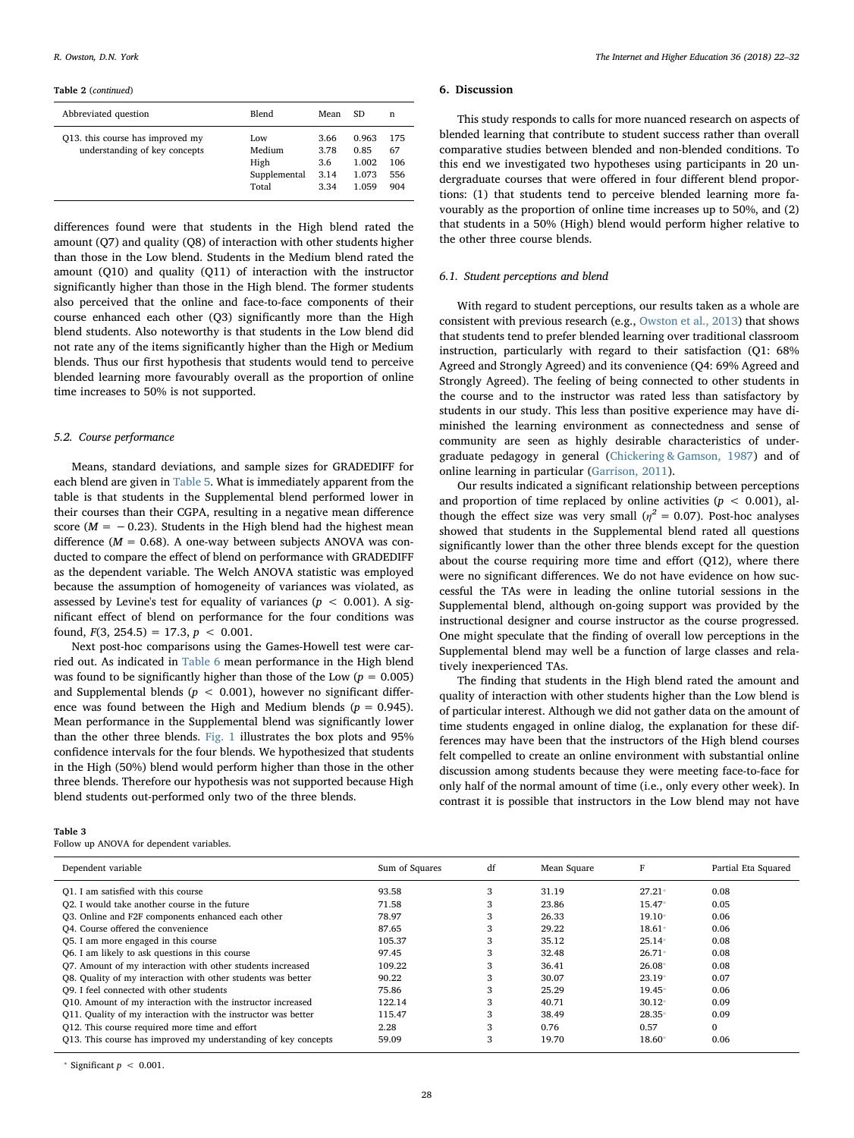Table 2 (continued)

| Abbreviated question                                              | Blend                                          | Mean                                | SD                                       | n                              |
|-------------------------------------------------------------------|------------------------------------------------|-------------------------------------|------------------------------------------|--------------------------------|
| 013. this course has improved my<br>understanding of key concepts | Low<br>Medium<br>High<br>Supplemental<br>Total | 3.66<br>3.78<br>3.6<br>3.14<br>3.34 | 0.963<br>0.85<br>1.002<br>1.073<br>1.059 | 175<br>67<br>106<br>556<br>904 |

differences found were that students in the High blend rated the amount (Q7) and quality (Q8) of interaction with other students higher than those in the Low blend. Students in the Medium blend rated the amount (Q10) and quality (Q11) of interaction with the instructor significantly higher than those in the High blend. The former students also perceived that the online and face-to-face components of their course enhanced each other (Q3) significantly more than the High blend students. Also noteworthy is that students in the Low blend did not rate any of the items significantly higher than the High or Medium blends. Thus our first hypothesis that students would tend to perceive blended learning more favourably overall as the proportion of online time increases to 50% is not supported.

## 5.2. Course performance

Means, standard deviations, and sample sizes for GRADEDIFF for each blend are given in [Table 5.](#page-8-0) What is immediately apparent from the table is that students in the Supplemental blend performed lower in their courses than their CGPA, resulting in a negative mean difference score ( $M = -0.23$ ). Students in the High blend had the highest mean difference ( $M = 0.68$ ). A one-way between subjects ANOVA was conducted to compare the effect of blend on performance with GRADEDIFF as the dependent variable. The Welch ANOVA statistic was employed because the assumption of homogeneity of variances was violated, as assessed by Levine's test for equality of variances ( $p < 0.001$ ). A significant effect of blend on performance for the four conditions was found,  $F(3, 254.5) = 17.3, p < 0.001$ .

Next post-hoc comparisons using the Games-Howell test were carried out. As indicated in [Table 6](#page-8-1) mean performance in the High blend was found to be significantly higher than those of the Low ( $p = 0.005$ ) and Supplemental blends ( $p < 0.001$ ), however no significant difference was found between the High and Medium blends ( $p = 0.945$ ). Mean performance in the Supplemental blend was significantly lower than the other three blends. [Fig. 1](#page-8-2) illustrates the box plots and 95% confidence intervals for the four blends. We hypothesized that students in the High (50%) blend would perform higher than those in the other three blends. Therefore our hypothesis was not supported because High blend students out-performed only two of the three blends.

#### <span id="page-6-0"></span>Table 3

Follow up ANOVA for dependent variables.

### 6. Discussion

This study responds to calls for more nuanced research on aspects of blended learning that contribute to student success rather than overall comparative studies between blended and non-blended conditions. To this end we investigated two hypotheses using participants in 20 undergraduate courses that were offered in four different blend proportions: (1) that students tend to perceive blended learning more favourably as the proportion of online time increases up to 50%, and (2) that students in a 50% (High) blend would perform higher relative to the other three course blends.

## 6.1. Student perceptions and blend

With regard to student perceptions, our results taken as a whole are consistent with previous research (e.g., [Owston et al., 2013\)](#page-10-22) that shows that students tend to prefer blended learning over traditional classroom instruction, particularly with regard to their satisfaction (Q1: 68% Agreed and Strongly Agreed) and its convenience (Q4: 69% Agreed and Strongly Agreed). The feeling of being connected to other students in the course and to the instructor was rated less than satisfactory by students in our study. This less than positive experience may have diminished the learning environment as connectedness and sense of community are seen as highly desirable characteristics of undergraduate pedagogy in general ([Chickering & Gamson, 1987\)](#page-10-40) and of online learning in particular ([Garrison, 2011\)](#page-10-41).

Our results indicated a significant relationship between perceptions and proportion of time replaced by online activities ( $p < 0.001$ ), although the effect size was very small ( $\eta^2 = 0.07$ ). Post-hoc analyses showed that students in the Supplemental blend rated all questions significantly lower than the other three blends except for the question about the course requiring more time and effort (Q12), where there were no significant differences. We do not have evidence on how successful the TAs were in leading the online tutorial sessions in the Supplemental blend, although on-going support was provided by the instructional designer and course instructor as the course progressed. One might speculate that the finding of overall low perceptions in the Supplemental blend may well be a function of large classes and relatively inexperienced TAs.

The finding that students in the High blend rated the amount and quality of interaction with other students higher than the Low blend is of particular interest. Although we did not gather data on the amount of time students engaged in online dialog, the explanation for these differences may have been that the instructors of the High blend courses felt compelled to create an online environment with substantial online discussion among students because they were meeting face-to-face for only half of the normal amount of time (i.e., only every other week). In contrast it is possible that instructors in the Low blend may not have

| Dependent variable                                             | Sum of Squares | df | Mean Square | F        | Partial Eta Squared |
|----------------------------------------------------------------|----------------|----|-------------|----------|---------------------|
| O1. I am satisfied with this course                            | 93.58          | 3  | 31.19       | $27.21*$ | 0.08                |
| Q2. I would take another course in the future                  | 71.58          |    | 23.86       | $15.47*$ | 0.05                |
| Q3. Online and F2F components enhanced each other              | 78.97          | 3  | 26.33       | $19.10*$ | 0.06                |
| Q4. Course offered the convenience                             | 87.65          |    | 29.22       | $18.61*$ | 0.06                |
| Q5. I am more engaged in this course                           | 105.37         |    | 35.12       | $25.14*$ | 0.08                |
| Q6. I am likely to ask questions in this course                | 97.45          |    | 32.48       | $26.71*$ | 0.08                |
| Q7. Amount of my interaction with other students increased     | 109.22         |    | 36.41       | $26.08*$ | 0.08                |
| Q8. Quality of my interaction with other students was better   | 90.22          |    | 30.07       | $23.19*$ | 0.07                |
| Q9. I feel connected with other students                       | 75.86          | 3  | 25.29       | 19.45*   | 0.06                |
| Q10. Amount of my interaction with the instructor increased    | 122.14         | 3  | 40.71       | $30.12*$ | 0.09                |
| Q11. Quality of my interaction with the instructor was better  | 115.47         | 3  | 38.49       | $28.35*$ | 0.09                |
| Q12. This course required more time and effort                 | 2.28           | 3  | 0.76        | 0.57     | $\mathbf{0}$        |
| Q13. This course has improved my understanding of key concepts | 59.09          | 3  | 19.70       | 18.60*   | 0.06                |

<span id="page-6-1"></span>\* Significant  $p < 0.001$ .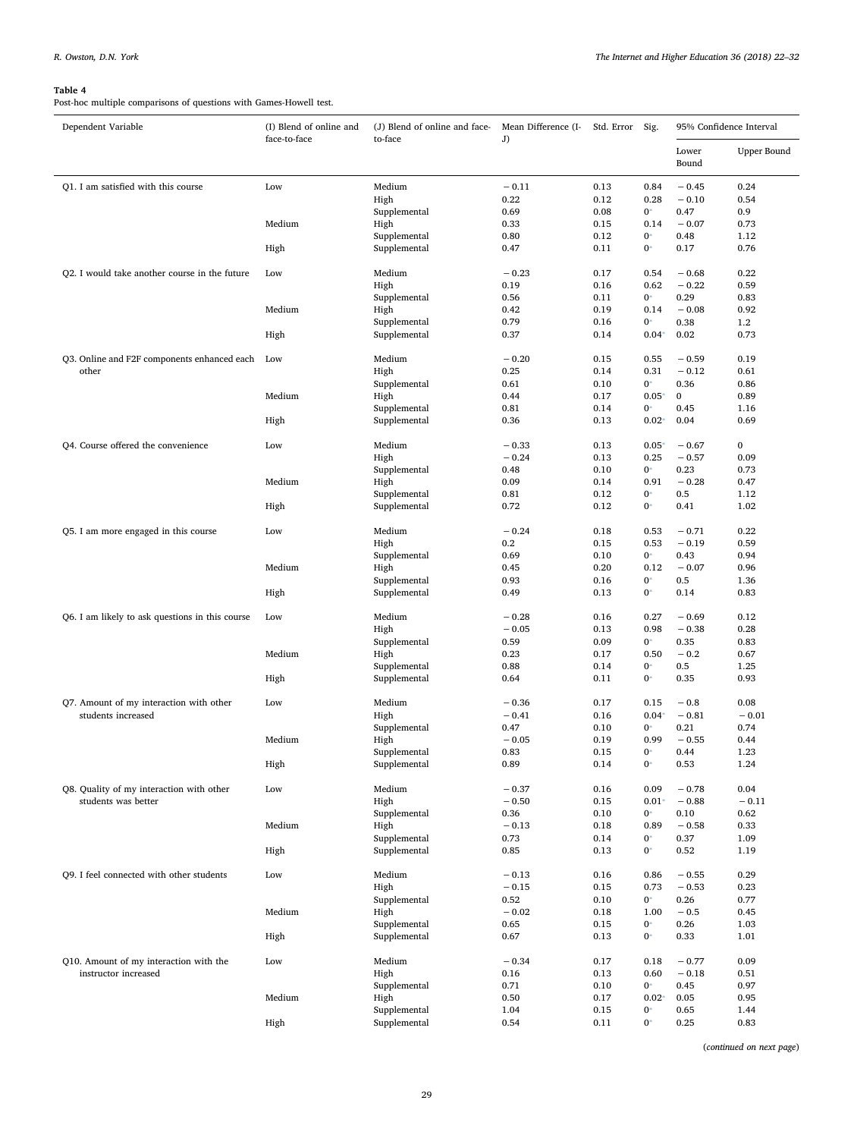## <span id="page-7-0"></span>Table 4

Post-hoc multiple comparisons of questions with Games-Howell test.

| Dependent Variable                              | (I) Blend of online and | (J) Blend of online and face-Mean Difference (I- |         | Std. Error Sig. |         | 95% Confidence Interval |                    |  |
|-------------------------------------------------|-------------------------|--------------------------------------------------|---------|-----------------|---------|-------------------------|--------------------|--|
|                                                 | face-to-face            | to-face                                          | J)      |                 |         | Lower<br>Bound          | <b>Upper Bound</b> |  |
| Q1. I am satisfied with this course             | Low                     | Medium                                           | $-0.11$ | 0.13            | 0.84    | $-0.45$                 | 0.24               |  |
|                                                 |                         | High                                             | 0.22    | 0.12            | 0.28    | $-0.10$                 | 0.54               |  |
|                                                 |                         | Supplemental                                     | 0.69    | 0.08            | $0^*$   | 0.47                    | 0.9                |  |
|                                                 | Medium                  | High                                             | 0.33    | 0.15            | 0.14    | $-0.07$                 | 0.73               |  |
|                                                 |                         | Supplemental                                     | 0.80    | 0.12            | $0*$    | 0.48                    | 1.12               |  |
|                                                 | High                    | Supplemental                                     | 0.47    | 0.11            | $0^*$   | 0.17                    | 0.76               |  |
| Q2. I would take another course in the future   | Low                     | Medium                                           | $-0.23$ | 0.17            | 0.54    | $-0.68$                 | 0.22               |  |
|                                                 |                         | High                                             | 0.19    | 0.16            | 0.62    | $-0.22$                 | 0.59               |  |
|                                                 |                         | Supplemental                                     | 0.56    | 0.11            | $0^*$   | 0.29                    | 0.83               |  |
|                                                 | Medium                  | High                                             | 0.42    | 0.19            | 0.14    | $-0.08$                 | 0.92               |  |
|                                                 |                         | Supplemental                                     | 0.79    | 0.16            | $0^*$   | 0.38                    | 1.2                |  |
|                                                 | High                    | Supplemental                                     | 0.37    | 0.14            | $0.04*$ | 0.02                    | 0.73               |  |
| Q3. Online and F2F components enhanced each Low |                         | Medium                                           | $-0.20$ | 0.15            | 0.55    | $-0.59$                 | 0.19               |  |
| other                                           |                         | High                                             | 0.25    | 0.14            | 0.31    | $-0.12$                 | 0.61               |  |
|                                                 |                         | Supplemental                                     | 0.61    | 0.10            | $0^*$   | 0.36                    | 0.86               |  |
|                                                 | Medium                  | High                                             | 0.44    | 0.17            | $0.05*$ | 0                       | 0.89               |  |
|                                                 |                         | Supplemental                                     | 0.81    | 0.14            | $0^*$   | 0.45                    | 1.16               |  |
|                                                 | High                    | Supplemental                                     | 0.36    | 0.13            | $0.02*$ | 0.04                    | 0.69               |  |
| Q4. Course offered the convenience              | Low                     | Medium                                           | $-0.33$ | 0.13            | $0.05*$ | $-0.67$                 | $\mathbf{0}$       |  |
|                                                 |                         | High                                             | $-0.24$ | 0.13            | 0.25    | $-0.57$                 | 0.09               |  |
|                                                 |                         | Supplemental                                     | 0.48    | 0.10            | $0^*$   | 0.23                    | 0.73               |  |
|                                                 | Medium                  | High                                             | 0.09    | 0.14            | 0.91    | $-0.28$                 | 0.47               |  |
|                                                 |                         | Supplemental                                     | 0.81    | 0.12            | $0*$    | 0.5                     | 1.12               |  |
|                                                 | High                    | Supplemental                                     | 0.72    | 0.12            | $0^*$   | 0.41                    | 1.02               |  |
| Q5. I am more engaged in this course            | Low                     | Medium                                           | $-0.24$ | 0.18            | 0.53    | $-0.71$                 | 0.22               |  |
|                                                 |                         | High                                             | 0.2     | 0.15            | 0.53    | $-0.19$                 | 0.59               |  |
|                                                 |                         | Supplemental                                     | 0.69    | 0.10            | $0^*$   | 0.43                    | 0.94               |  |
|                                                 | Medium                  | High                                             | 0.45    | 0.20            | 0.12    | $-0.07$                 | 0.96               |  |
|                                                 |                         | Supplemental                                     | 0.93    | 0.16            | $0*$    | 0.5                     | 1.36               |  |
|                                                 | High                    | Supplemental                                     | 0.49    | 0.13            | $0^*$   | 0.14                    | 0.83               |  |
| Q6. I am likely to ask questions in this course | Low                     | Medium                                           | $-0.28$ | 0.16            | 0.27    | $-0.69$                 | 0.12               |  |
|                                                 |                         | High                                             | $-0.05$ | 0.13            | 0.98    | $-0.38$                 | 0.28               |  |
|                                                 |                         | Supplemental                                     | 0.59    | 0.09            | $0^*$   | 0.35                    | 0.83               |  |
|                                                 | Medium                  | High                                             | 0.23    | 0.17            | 0.50    | $-0.2$                  | 0.67               |  |
|                                                 |                         | Supplemental                                     | 0.88    | 0.14            | $0*$    | 0.5                     | 1.25               |  |
|                                                 | High                    | Supplemental                                     | 0.64    | 0.11            | $0^*$   | 0.35                    | 0.93               |  |
| Q7. Amount of my interaction with other         | Low                     | Medium                                           | $-0.36$ | 0.17            | 0.15    | $-0.8$                  | 0.08               |  |
| students increased                              |                         | High                                             | $-0.41$ | 0.16            | $0.04*$ | $-0.81$                 | $-0.01$            |  |
|                                                 |                         | Supplemental                                     | 0.47    | 0.10            | $0^*$   | 0.21                    | 0.74               |  |
|                                                 | Medium                  | High                                             | $-0.05$ | 0.19            | 0.99    | $-0.55$                 | 0.44               |  |
|                                                 |                         | Supplemental                                     | 0.83    | 0.15            | $0*$    | 0.44                    | 1.23               |  |
|                                                 | High                    | Supplemental                                     | 0.89    | 0.14            | $0*$    | 0.53                    | 1.24               |  |
| Q8. Quality of my interaction with other        | Low                     | Medium                                           | $-0.37$ | 0.16            | 0.09    | $-0.78$                 | 0.04               |  |
| students was better                             |                         | High                                             | $-0.50$ | 0.15            | $0.01*$ | $-0.88$                 | $-0.11$            |  |
|                                                 |                         | Supplemental                                     | 0.36    | 0.10            | $0^*$   | 0.10                    | 0.62               |  |
|                                                 | Medium                  | High                                             | $-0.13$ | 0.18            | 0.89    | $-0.58$                 | 0.33               |  |
|                                                 |                         | Supplemental                                     | 0.73    | 0.14            | $0*$    | 0.37                    | 1.09               |  |
|                                                 | High                    | Supplemental                                     | 0.85    | 0.13            | $0^*$   | 0.52                    | 1.19               |  |
| Q9. I feel connected with other students        | Low                     | Medium                                           | $-0.13$ | 0.16            | 0.86    | $-0.55$                 | 0.29               |  |
|                                                 |                         | High                                             | $-0.15$ | 0.15            | 0.73    | $-0.53$                 | 0.23               |  |
|                                                 |                         | Supplemental                                     | 0.52    | 0.10            | $0^*$   | 0.26                    | 0.77               |  |
|                                                 | Medium                  | High                                             | $-0.02$ | 0.18            | 1.00    | $-0.5$                  | 0.45               |  |
|                                                 |                         | Supplemental                                     | 0.65    | 0.15            | $0*$    | 0.26                    | 1.03               |  |
|                                                 | High                    | Supplemental                                     | 0.67    | 0.13            | $0^*$   | 0.33                    | 1.01               |  |
| Q10. Amount of my interaction with the          | Low                     | Medium                                           | $-0.34$ | 0.17            | 0.18    | $-0.77$                 | 0.09               |  |
| instructor increased                            |                         | High                                             | 0.16    | 0.13            | 0.60    | $-0.18$                 | 0.51               |  |
|                                                 |                         | Supplemental                                     | 0.71    | 0.10            | $0^*$   | 0.45                    | 0.97               |  |
|                                                 | Medium                  | High                                             | 0.50    | 0.17            | $0.02*$ | 0.05                    | 0.95               |  |
|                                                 |                         | Supplemental                                     | 1.04    | 0.15            | $0*$    | 0.65                    | 1.44               |  |
|                                                 | High                    | Supplemental                                     | 0.54    | 0.11            | $0*$    | 0.25                    | 0.83               |  |

(continued on next page)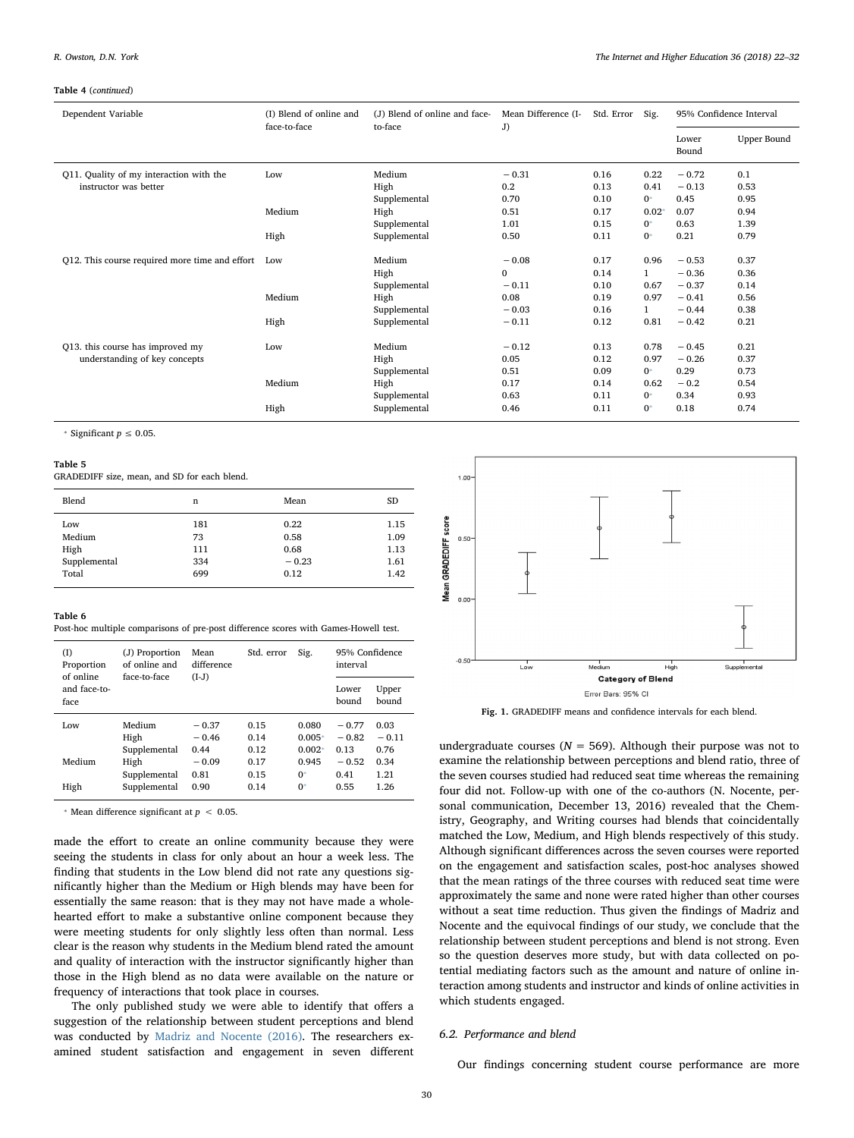## Table 4 (continued)

| Dependent Variable                             | (I) Blend of online and<br>face-to-face | (J) Blend of online and face-<br>to-face | Mean Difference (I-<br>J) | Std. Error Sig. |              | 95% Confidence Interval |                    |
|------------------------------------------------|-----------------------------------------|------------------------------------------|---------------------------|-----------------|--------------|-------------------------|--------------------|
|                                                |                                         |                                          |                           |                 |              | Lower<br>Bound          | <b>Upper Bound</b> |
| Q11. Quality of my interaction with the        | Low                                     | Medium                                   | $-0.31$                   | 0.16            | 0.22         | $-0.72$                 | 0.1                |
| instructor was better                          |                                         | High                                     | 0.2                       | 0.13            | 0.41         | $-0.13$                 | 0.53               |
|                                                |                                         | Supplemental                             | 0.70                      | 0.10            | $0^*$        | 0.45                    | 0.95               |
|                                                | Medium                                  | High                                     | 0.51                      | 0.17            | $0.02*$      | 0.07                    | 0.94               |
|                                                |                                         | Supplemental                             | 1.01                      | 0.15            | $0*$         | 0.63                    | 1.39               |
|                                                | High                                    | Supplemental                             | 0.50                      | 0.11            | $0^*$        | 0.21                    | 0.79               |
|                                                |                                         |                                          |                           |                 |              |                         |                    |
| Q12. This course required more time and effort | Low                                     | Medium                                   | $-0.08$                   | 0.17            | 0.96         | $-0.53$                 | 0.37               |
|                                                |                                         | High                                     | $\mathbf{0}$              | 0.14            | $\mathbf{1}$ | $-0.36$                 | 0.36               |
|                                                |                                         | Supplemental                             | $-0.11$                   | 0.10            | 0.67         | $-0.37$                 | 0.14               |
|                                                | Medium                                  | High                                     | 0.08                      | 0.19            | 0.97         | $-0.41$                 | 0.56               |
|                                                |                                         | Supplemental                             | $-0.03$                   | 0.16            | $\mathbf{1}$ | $-0.44$                 | 0.38               |
|                                                | High                                    | Supplemental                             | $-0.11$                   | 0.12            | 0.81         | $-0.42$                 | 0.21               |
|                                                |                                         |                                          |                           |                 |              |                         |                    |
| Q13. this course has improved my               | Low                                     | Medium                                   | $-0.12$                   | 0.13            | 0.78         | $-0.45$                 | 0.21               |
| understanding of key concepts                  |                                         | High                                     | 0.05                      | 0.12            | 0.97         | $-0.26$                 | 0.37               |
|                                                |                                         | Supplemental                             | 0.51                      | 0.09            | $0^*$        | 0.29                    | 0.73               |
|                                                | Medium                                  | High                                     | 0.17                      | 0.14            | 0.62         | $-0.2$                  | 0.54               |
|                                                |                                         | Supplemental                             | 0.63                      | 0.11            | $0^*$        | 0.34                    | 0.93               |
|                                                | High                                    | Supplemental                             | 0.46                      | 0.11            | $0^*$        | 0.18                    | 0.74               |
|                                                |                                         |                                          |                           |                 |              |                         |                    |

<span id="page-8-3"></span>⁎ Significant p ≤ 0.05.

#### <span id="page-8-0"></span>Table 5

GRADEDIFF size, mean, and SD for each blend.

| Blend        | n   | Mean    | SD   |
|--------------|-----|---------|------|
| Low          | 181 | 0.22    | 1.15 |
| Medium       | 73  | 0.58    | 1.09 |
| High         | 111 | 0.68    | 1.13 |
| Supplemental | 334 | $-0.23$ | 1.61 |
| Total        | 699 | 0.12    | 1.42 |

#### <span id="page-8-1"></span>Table 6

Post-hoc multiple comparisons of pre-post difference scores with Games-Howell test.

| (I)<br>Proportion<br>of online | (J) Proportion<br>of online and<br>face-to-face        | Mean<br>difference<br>$(I-J)$                 | Std. error                           | Sig.                                            | 95% Confidence<br>interval                    |                                         |
|--------------------------------|--------------------------------------------------------|-----------------------------------------------|--------------------------------------|-------------------------------------------------|-----------------------------------------------|-----------------------------------------|
| and face-to-<br>face           |                                                        |                                               |                                      |                                                 | Lower<br>bound                                | Upper<br>bound                          |
| Low<br>Medium                  | Medium<br>High<br>Supplemental<br>High<br>Supplemental | $-0.37$<br>$-0.46$<br>0.44<br>$-0.09$<br>0.81 | 0.15<br>0.14<br>0.12<br>0.17<br>0.15 | 0.080<br>$0.005*$<br>$0.002*$<br>0.945<br>$0^*$ | $-0.77$<br>$-0.82$<br>0.13<br>$-0.52$<br>0.41 | 0.03<br>$-0.11$<br>0.76<br>0.34<br>1.21 |
| High                           | Supplemental                                           | 0.90                                          | 0.14                                 | $0^*$                                           | 0.55                                          | 1.26                                    |

<span id="page-8-4"></span> $*$  Mean difference significant at  $p < 0.05$ .

made the effort to create an online community because they were seeing the students in class for only about an hour a week less. The finding that students in the Low blend did not rate any questions significantly higher than the Medium or High blends may have been for essentially the same reason: that is they may not have made a wholehearted effort to make a substantive online component because they were meeting students for only slightly less often than normal. Less clear is the reason why students in the Medium blend rated the amount and quality of interaction with the instructor significantly higher than those in the High blend as no data were available on the nature or frequency of interactions that took place in courses.

The only published study we were able to identify that offers a suggestion of the relationship between student perceptions and blend was conducted by [Madriz and Nocente \(2016\).](#page-10-29) The researchers examined student satisfaction and engagement in seven different

<span id="page-8-2"></span>

Fig. 1. GRADEDIFF means and confidence intervals for each blend.

undergraduate courses ( $N = 569$ ). Although their purpose was not to examine the relationship between perceptions and blend ratio, three of the seven courses studied had reduced seat time whereas the remaining four did not. Follow-up with one of the co-authors (N. Nocente, personal communication, December 13, 2016) revealed that the Chemistry, Geography, and Writing courses had blends that coincidentally matched the Low, Medium, and High blends respectively of this study. Although significant differences across the seven courses were reported on the engagement and satisfaction scales, post-hoc analyses showed that the mean ratings of the three courses with reduced seat time were approximately the same and none were rated higher than other courses without a seat time reduction. Thus given the findings of Madriz and Nocente and the equivocal findings of our study, we conclude that the relationship between student perceptions and blend is not strong. Even so the question deserves more study, but with data collected on potential mediating factors such as the amount and nature of online interaction among students and instructor and kinds of online activities in which students engaged.

### 6.2. Performance and blend

Our findings concerning student course performance are more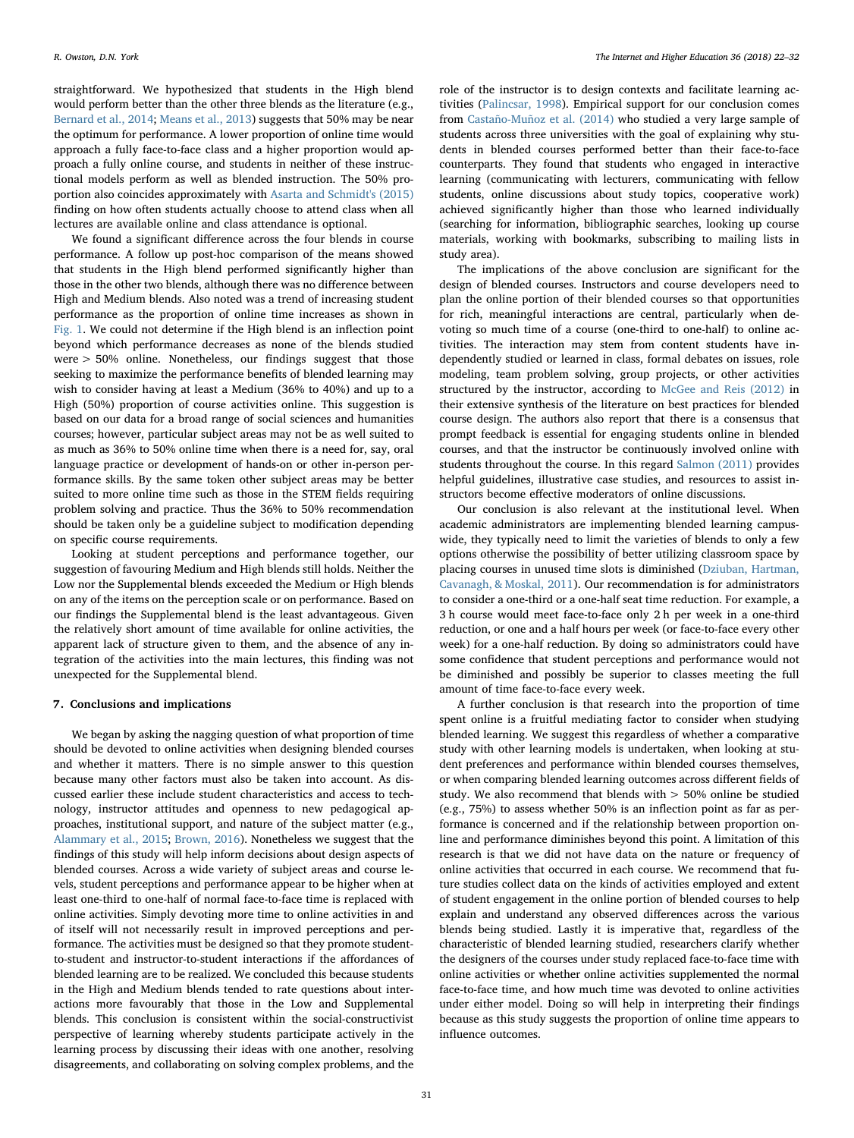straightforward. We hypothesized that students in the High blend would perform better than the other three blends as the literature (e.g., [Bernard et al., 2014](#page-10-34); [Means et al., 2013\)](#page-10-4) suggests that 50% may be near the optimum for performance. A lower proportion of online time would approach a fully face-to-face class and a higher proportion would approach a fully online course, and students in neither of these instructional models perform as well as blended instruction. The 50% proportion also coincides approximately with [Asarta and Schmidt's \(2015\)](#page-10-7) finding on how often students actually choose to attend class when all lectures are available online and class attendance is optional.

We found a significant difference across the four blends in course performance. A follow up post-hoc comparison of the means showed that students in the High blend performed significantly higher than those in the other two blends, although there was no difference between High and Medium blends. Also noted was a trend of increasing student performance as the proportion of online time increases as shown in [Fig. 1.](#page-8-2) We could not determine if the High blend is an inflection point beyond which performance decreases as none of the blends studied were > 50% online. Nonetheless, our findings suggest that those seeking to maximize the performance benefits of blended learning may wish to consider having at least a Medium (36% to 40%) and up to a High (50%) proportion of course activities online. This suggestion is based on our data for a broad range of social sciences and humanities courses; however, particular subject areas may not be as well suited to as much as 36% to 50% online time when there is a need for, say, oral language practice or development of hands-on or other in-person performance skills. By the same token other subject areas may be better suited to more online time such as those in the STEM fields requiring problem solving and practice. Thus the 36% to 50% recommendation should be taken only be a guideline subject to modification depending on specific course requirements.

Looking at student perceptions and performance together, our suggestion of favouring Medium and High blends still holds. Neither the Low nor the Supplemental blends exceeded the Medium or High blends on any of the items on the perception scale or on performance. Based on our findings the Supplemental blend is the least advantageous. Given the relatively short amount of time available for online activities, the apparent lack of structure given to them, and the absence of any integration of the activities into the main lectures, this finding was not unexpected for the Supplemental blend.

#### 7. Conclusions and implications

We began by asking the nagging question of what proportion of time should be devoted to online activities when designing blended courses and whether it matters. There is no simple answer to this question because many other factors must also be taken into account. As discussed earlier these include student characteristics and access to technology, instructor attitudes and openness to new pedagogical approaches, institutional support, and nature of the subject matter (e.g., [Alammary et al., 2015](#page-10-3); [Brown, 2016\)](#page-10-11). Nonetheless we suggest that the findings of this study will help inform decisions about design aspects of blended courses. Across a wide variety of subject areas and course levels, student perceptions and performance appear to be higher when at least one-third to one-half of normal face-to-face time is replaced with online activities. Simply devoting more time to online activities in and of itself will not necessarily result in improved perceptions and performance. The activities must be designed so that they promote studentto-student and instructor-to-student interactions if the affordances of blended learning are to be realized. We concluded this because students in the High and Medium blends tended to rate questions about interactions more favourably that those in the Low and Supplemental blends. This conclusion is consistent within the social-constructivist perspective of learning whereby students participate actively in the learning process by discussing their ideas with one another, resolving disagreements, and collaborating on solving complex problems, and the role of the instructor is to design contexts and facilitate learning activities ([Palincsar, 1998\)](#page-10-42). Empirical support for our conclusion comes from [Castaño-Muñoz](#page-10-9) et al. (2014) who studied a very large sample of students across three universities with the goal of explaining why students in blended courses performed better than their face-to-face counterparts. They found that students who engaged in interactive learning (communicating with lecturers, communicating with fellow students, online discussions about study topics, cooperative work) achieved significantly higher than those who learned individually (searching for information, bibliographic searches, looking up course materials, working with bookmarks, subscribing to mailing lists in study area).

The implications of the above conclusion are significant for the design of blended courses. Instructors and course developers need to plan the online portion of their blended courses so that opportunities for rich, meaningful interactions are central, particularly when devoting so much time of a course (one-third to one-half) to online activities. The interaction may stem from content students have independently studied or learned in class, formal debates on issues, role modeling, team problem solving, group projects, or other activities structured by the instructor, according to [McGee and Reis \(2012\)](#page-10-43) in their extensive synthesis of the literature on best practices for blended course design. The authors also report that there is a consensus that prompt feedback is essential for engaging students online in blended courses, and that the instructor be continuously involved online with students throughout the course. In this regard [Salmon \(2011\)](#page-10-44) provides helpful guidelines, illustrative case studies, and resources to assist instructors become effective moderators of online discussions.

Our conclusion is also relevant at the institutional level. When academic administrators are implementing blended learning campuswide, they typically need to limit the varieties of blends to only a few options otherwise the possibility of better utilizing classroom space by placing courses in unused time slots is diminished [\(Dziuban, Hartman,](#page-10-45) [Cavanagh, & Moskal, 2011](#page-10-45)). Our recommendation is for administrators to consider a one-third or a one-half seat time reduction. For example, a 3 h course would meet face-to-face only 2 h per week in a one-third reduction, or one and a half hours per week (or face-to-face every other week) for a one-half reduction. By doing so administrators could have some confidence that student perceptions and performance would not be diminished and possibly be superior to classes meeting the full amount of time face-to-face every week.

A further conclusion is that research into the proportion of time spent online is a fruitful mediating factor to consider when studying blended learning. We suggest this regardless of whether a comparative study with other learning models is undertaken, when looking at student preferences and performance within blended courses themselves, or when comparing blended learning outcomes across different fields of study. We also recommend that blends with > 50% online be studied (e.g., 75%) to assess whether 50% is an inflection point as far as performance is concerned and if the relationship between proportion online and performance diminishes beyond this point. A limitation of this research is that we did not have data on the nature or frequency of online activities that occurred in each course. We recommend that future studies collect data on the kinds of activities employed and extent of student engagement in the online portion of blended courses to help explain and understand any observed differences across the various blends being studied. Lastly it is imperative that, regardless of the characteristic of blended learning studied, researchers clarify whether the designers of the courses under study replaced face-to-face time with online activities or whether online activities supplemented the normal face-to-face time, and how much time was devoted to online activities under either model. Doing so will help in interpreting their findings because as this study suggests the proportion of online time appears to influence outcomes.